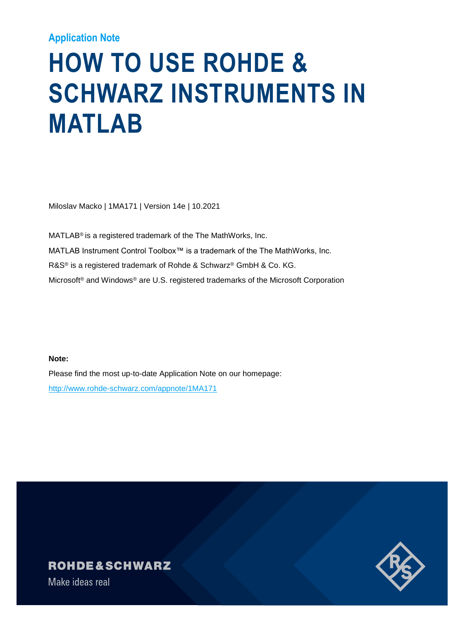### **Application Note**

# **HOW TO USE ROHDE & SCHWARZ INSTRUMENTS IN MATLAB**

Miloslav Macko | 1MA171 | Version 14e | 10.2021

MATLAB® is a registered trademark of the The MathWorks, Inc. MATLAB Instrument Control Toolbox™ is a trademark of the The MathWorks, Inc. R&S® is a registered trademark of Rohde & Schwarz® GmbH & Co. KG. Microsoft® and Windows® are U.S. registered trademarks of the Microsoft Corporation

**Note:**

Please find the most up-to-date Application Note on our homepage: http://www.rohde-schwarz.com/appnote/1MA171

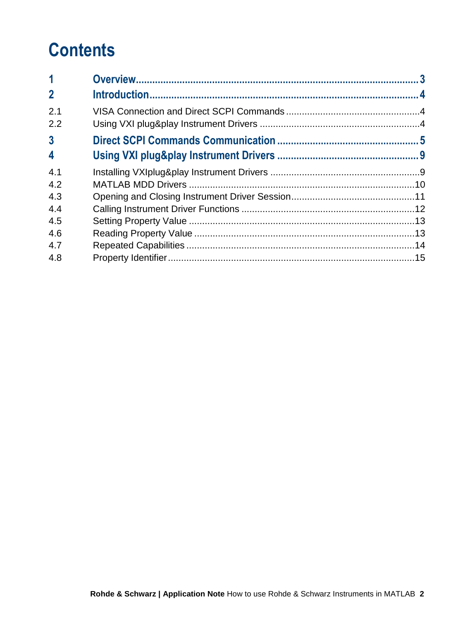## **Contents**

| $\mathbf 1$             |  |
|-------------------------|--|
| $\overline{2}$          |  |
| 2.1                     |  |
| 2.2                     |  |
| $\overline{3}$          |  |
| $\overline{\mathbf{4}}$ |  |
| 4.1                     |  |
| 4.2                     |  |
| 4.3                     |  |
| 4.4                     |  |
| 4.5                     |  |
| 4.6                     |  |
| 4.7                     |  |
| 4.8                     |  |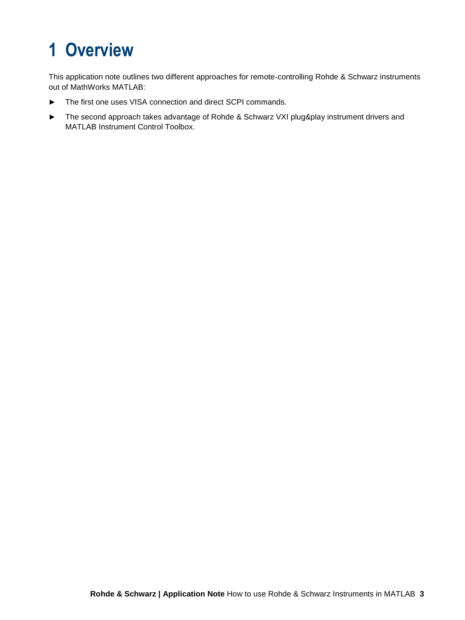## <span id="page-2-0"></span>**1 Overview**

This application note outlines two different approaches for remote-controlling Rohde & Schwarz instruments out of MathWorks MATLAB:

- ► The first one uses VISA connection and direct SCPI commands.
- ► The second approach takes advantage of Rohde & Schwarz VXI plug&play instrument drivers and MATLAB Instrument Control Toolbox.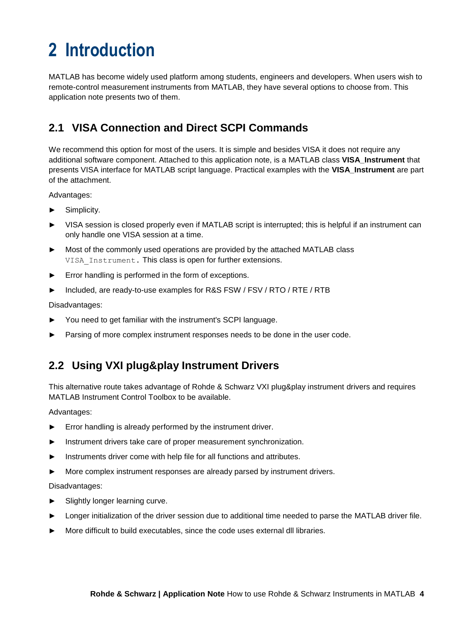## <span id="page-3-0"></span>**2 Introduction**

MATLAB has become widely used platform among students, engineers and developers. When users wish to remote-control measurement instruments from MATLAB, they have several options to choose from. This application note presents two of them.

## <span id="page-3-1"></span>**2.1 VISA Connection and Direct SCPI Commands**

We recommend this option for most of the users. It is simple and besides VISA it does not require any additional software component. Attached to this application note, is a MATLAB class **VISA\_Instrument** that presents VISA interface for MATLAB script language. Practical examples with the **VISA\_Instrument** are part of the attachment.

Advantages:

- Simplicity.
- VISA session is closed properly even if MATLAB script is interrupted; this is helpful if an instrument can only handle one VISA session at a time.
- Most of the commonly used operations are provided by the attached MATLAB class VISA Instrument. This class is open for further extensions.
- Error handling is performed in the form of exceptions.
- Included, are ready-to-use examples for R&S FSW / FSV / RTO / RTE / RTB

Disadvantages:

- You need to get familiar with the instrument's SCPI language.
- Parsing of more complex instrument responses needs to be done in the user code.

## <span id="page-3-2"></span>**2.2 Using VXI plug&play Instrument Drivers**

This alternative route takes advantage of Rohde & Schwarz VXI plug&play instrument drivers and requires MATLAB Instrument Control Toolbox to be available.

Advantages:

- Error handling is already performed by the instrument driver.
- Instrument drivers take care of proper measurement synchronization.
- Instruments driver come with help file for all functions and attributes.
- More complex instrument responses are already parsed by instrument drivers.

Disadvantages:

- ► Slightly longer learning curve.
- Longer initialization of the driver session due to additional time needed to parse the MATLAB driver file.
- More difficult to build executables, since the code uses external dll libraries.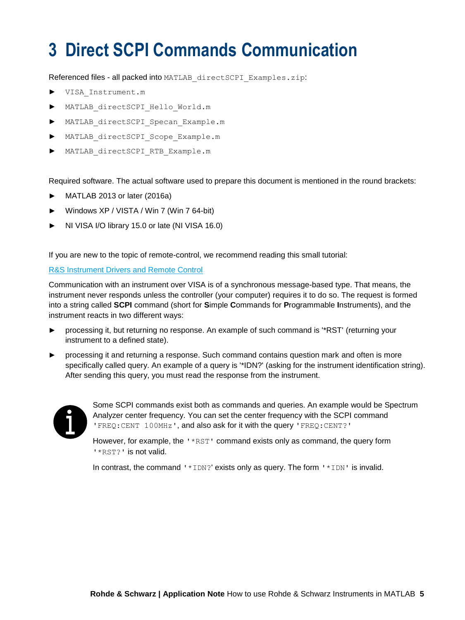## <span id="page-4-0"></span>**3 Direct SCPI Commands Communication**

Referenced files - all packed into MATLAB\_directSCPI\_Examples.zip:

- ► VISA\_Instrument.m
- MATLAB directSCPI Hello World.m
- ► MATLAB\_directSCPI\_Specan\_Example.m
- ► MATLAB\_directSCPI\_Scope\_Example.m
- MATLAB directSCPI RTB Example.m

Required software. The actual software used to prepare this document is mentioned in the round brackets:

- MATLAB 2013 or later (2016a)
- ► Windows XP / VISTA / Win 7 (Win 7 64-bit)
- ► NI VISA I/O library 15.0 or late (NI VISA 16.0)

If you are new to the topic of remote-control, we recommend reading this small tutorial:

#### [R&S Instrument Drivers and Remote Control](https://www.rohde-schwarz.com/au/driver-pages/remote-control/drivers-remote-control_110753.html)

Communication with an instrument over VISA is of a synchronous message-based type. That means, the instrument never responds unless the controller (your computer) requires it to do so. The request is formed into a string called **SCPI** command (short for **S**imple **C**ommands for **P**rogrammable **I**nstruments), and the instrument reacts in two different ways:

- ► processing it, but returning no response. An example of such command is '\*RST' (returning your instrument to a defined state).
- processing it and returning a response. Such command contains question mark and often is more specifically called query. An example of a query is '\*IDN?' (asking for the instrument identification string). After sending this query, you must read the response from the instrument.



Some SCPI commands exist both as commands and queries. An example would be Spectrum Analyzer center frequency. You can set the center frequency with the SCPI command 'FREQ:CENT 100MHz', and also ask for it with the query 'FREQ:CENT?'

However, for example, the '\*RST' command exists only as command, the query form '\*RST?' is not valid.

In contrast, the command ' \*IDN?' exists only as query. The form ' \*IDN' is invalid.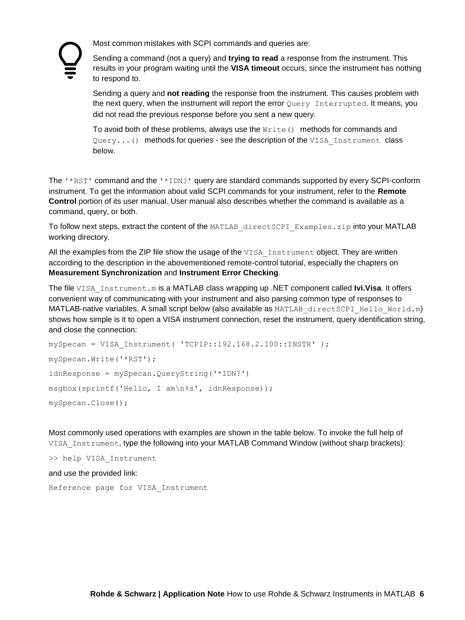Most common mistakes with SCPI commands and queries are:

Sending a command (not a query) and **trying to read** a response from the instrument. This results in your program waiting until the **VISA timeout** occurs, since the instrument has nothing to respond to.

Sending a query and **not reading** the response from the instrument. This causes problem with the next query, when the instrument will report the error Query Interrupted. It means, you did not read the previous response before you sent a new query.

To avoid both of these problems, always use the  $Write()$  methods for commands and Query...() methods for queries - see the description of the VISA Instrument class below.

The '\*RST' command and the '\*IDN?' query are standard commands supported by every SCPI-conform instrument. To get the information about valid SCPI commands for your instrument, refer to the **Remote Control** portion of its user manual. User manual also describes whether the command is available as a command, query, or both.

To follow next steps, extract the content of the MATLAB\_directSCPI\_Examples.zip into your MATLAB working directory.

All the examples from the ZIP file show the usage of the VISA Instrument object. They are written according to the description in the abovementioned remote-control tutorial, especially the chapters on **Measurement Synchronization** and **Instrument Error Checking**.

The file VISA\_Instrument.m is a MATLAB class wrapping up .NET component called **Ivi.Visa**. It offers convenient way of communicating with your instrument and also parsing common type of responses to MATLAB-native variables. A small script below (also available as MATLAB directSCPI Hello World.m) shows how simple is it to open a VISA instrument connection, reset the instrument, query identification string, and close the connection:

```
mySpecan = VISA_Instrument( 'TCPIP::192.168.2.100::INSTR' );
mySpecan.Write('*RST');
idnResponse = mySpecan.QueryString('*IDN?')
msgbox(sprintf('Hello, I am\n%s', idnResponse));
mySpecan.Close();
```
Most commonly used operations with examples are shown in the table below. To invoke the full help of VISA Instrument, type the following into your MATLAB Command Window (without sharp brackets):

>> help VISA\_Instrument

#### and use the provided link:

Reference page for VISA\_Instrument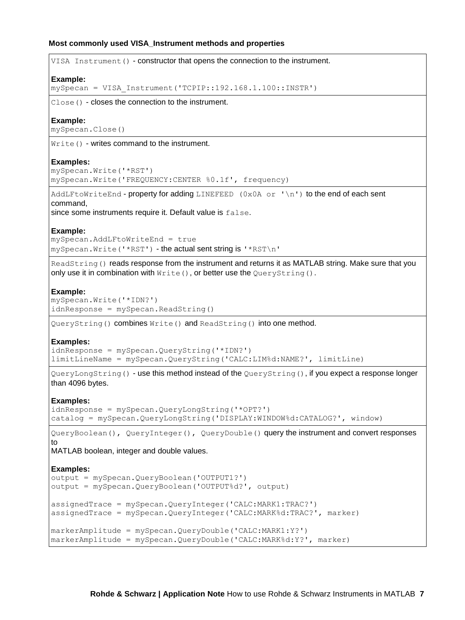#### **Most commonly used VISA\_Instrument methods and properties**

| VISA Instrument () - constructor that opens the connection to the instrument.                                                                                                       |
|-------------------------------------------------------------------------------------------------------------------------------------------------------------------------------------|
| Example:<br>mySpecan = VISA Instrument ('TCPIP::192.168.1.100::INSTR')                                                                                                              |
| $Close()$ - closes the connection to the instrument.                                                                                                                                |
| Example:<br>mySpecan.Close()                                                                                                                                                        |
| $Write()$ - writes command to the instrument.                                                                                                                                       |
| <b>Examples:</b><br>mySpecan. Write (' *RST')<br>mySpecan. Write ('FREQUENCY: CENTER %0.1f', frequency)                                                                             |
| AddLFtoWriteEnd - property for adding LINEFEED (0x0A or '\n') to the end of each sent<br>command,<br>since some instruments require it. Default value is false.                     |
| Example:<br>mySpecan.AddLFtoWriteEnd = true<br>mySpecan. Write ('*RST') - the actual sent string is '*RST\n'                                                                        |
| ReadString () reads response from the instrument and returns it as MATLAB string. Make sure that you<br>only use it in combination with Write (), or better use the QueryString (). |
| Example:<br>mySpecan. Write ('*IDN?')<br>idnResponse = mySpecan.ReadString()                                                                                                        |
| QueryString () combines Write () and ReadString () into one method.                                                                                                                 |
| <b>Examples:</b><br>idnResponse = mySpecan. QueryString ('*IDN?')<br>limitLineName = mySpecan.QueryString('CALC:LIM%d:NAME?', limitLine)                                            |
| QueryLongString() - use this method instead of the QueryString(), if you expect a response longer<br>than 4096 bytes.                                                               |
| <b>Examples:</b><br>idnResponse = mySpecan.QueryLongString('*OPT?')<br>catalog = mySpecan.QueryLongString('DISPLAY:WINDOW%d:CATALOG?', window)                                      |
| QueryBoolean (), QueryInteger(), QueryDouble() query the instrument and convert responses<br>to                                                                                     |
| MATLAB boolean, integer and double values.                                                                                                                                          |
| <b>Examples:</b><br>output = mySpecan. QueryBoolean ('OUTPUT1?')<br>output = mySpecan. QueryBoolean ('OUTPUT%d?', output)                                                           |
| assignedTrace = mySpecan.QueryInteger('CALC:MARK1:TRAC?')<br>assignedTrace = mySpecan.QueryInteger('CALC:MARK%d:TRAC?', marker)                                                     |
| markerAmplitude = mySpecan.QueryDouble('CALC:MARK1:Y?')<br>markerAmplitude = mySpecan.QueryDouble('CALC:MARK%d:Y?', marker)                                                         |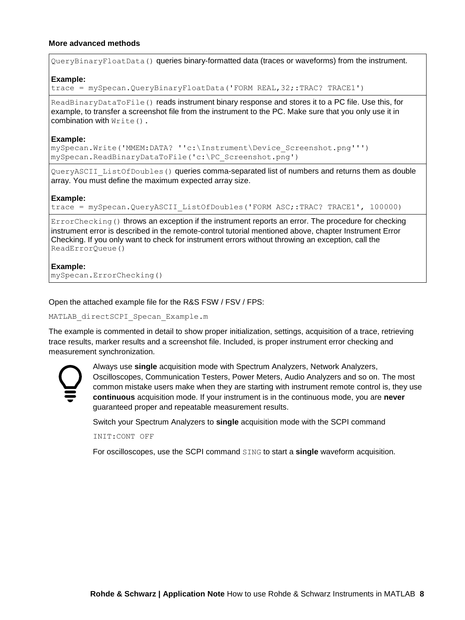#### **More advanced methods**

QueryBinaryFloatData() queries binary-formatted data (traces or waveforms) from the instrument.

#### **Example:**

trace = mySpecan.QueryBinaryFloatData('FORM REAL,32;:TRAC? TRACE1')

ReadBinaryDataToFile() reads instrument binary response and stores it to a PC file. Use this, for example, to transfer a screenshot file from the instrument to the PC. Make sure that you only use it in combination with  $Write()$ .

#### **Example:**

mySpecan.Write('MMEM:DATA? ''c:\Instrument\Device\_Screenshot.png''') mySpecan.ReadBinaryDataToFile('c:\PC\_Screenshot.png')

QueryASCII\_ListOfDoubles() queries comma-separated list of numbers and returns them as double array. You must define the maximum expected array size.

#### **Example:**

trace = mySpecan.QueryASCII ListOfDoubles('FORM ASC;:TRAC? TRACE1', 100000)

ErrorChecking() throws an exception if the instrument reports an error. The procedure for checking instrument error is described in the remote-control tutorial mentioned above, chapter Instrument Error Checking. If you only want to check for instrument errors without throwing an exception, call the ReadErrorQueue()

#### **Example:**

mySpecan.ErrorChecking()

Open the attached example file for the R&S FSW / FSV / FPS:

MATLAB directSCPI Specan Example.m

The example is commented in detail to show proper initialization, settings, acquisition of a trace, retrieving trace results, marker results and a screenshot file. Included, is proper instrument error checking and measurement synchronization.



Always use **single** acquisition mode with Spectrum Analyzers, Network Analyzers, Oscilloscopes, Communication Testers, Power Meters, Audio Analyzers and so on. The most common mistake users make when they are starting with instrument remote control is, they use **continuous** acquisition mode. If your instrument is in the continuous mode, you are **never** guaranteed proper and repeatable measurement results.

Switch your Spectrum Analyzers to **single** acquisition mode with the SCPI command

INIT:CONT OFF

For oscilloscopes, use the SCPI command SING to start a **single** waveform acquisition.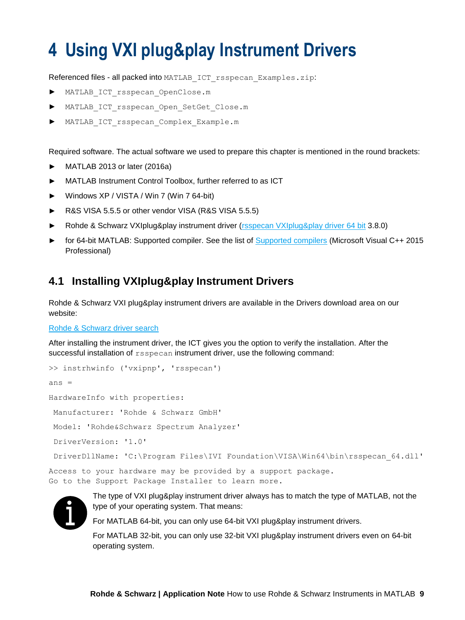## <span id="page-8-0"></span>**4 Using VXI plug&play Instrument Drivers**

Referenced files - all packed into MATLAB\_ICT\_rsspecan\_Examples.zip:

- MATLAB\_ICT\_rsspecan\_OpenClose.m
- MATLAB ICT rsspecan Open SetGet Close.m
- MATLAB\_ICT\_rsspecan\_Complex\_Example.m

Required software. The actual software we used to prepare this chapter is mentioned in the round brackets:

- ► MATLAB 2013 or later (2016a)
- ► MATLAB Instrument Control Toolbox, further referred to as ICT
- ► Windows XP / VISTA / Win 7 (Win 7 64-bit)
- ► R&S VISA 5.5.5 or other vendor VISA (R&S VISA 5.5.5)
- Rohde & Schwarz VXIplug&play instrument driver [\(rsspecan VXIplug&play driver 64 bit](https://www.rohde-schwarz.com/driver/fsw/?&facet=facet.DriverTechnologie&facet.DriverTechnologie=VXIplug%26play) 3.8.0)
- for 64-bit MATLAB: Supported compiler. See the list of [Supported compilers](https://www.mathworks.com/support/requirements/previous-releases.html) (Microsoft Visual C++ 2015 Professional)

### <span id="page-8-1"></span>**4.1 Installing VXIplug&play Instrument Drivers**

Rohde & Schwarz VXI plug&play instrument drivers are available in the Drivers download area on our website:

#### [Rohde & Schwarz driver search](https://www.rohde-schwarz.com/au/search/driver_63451.html?term=*)

After installing the instrument driver, the ICT gives you the option to verify the installation. After the successful installation of rsspecan instrument driver, use the following command:

```
>> instrhwinfo ('vxipnp', 'rsspecan')
ans =
HardwareInfo with properties:
 Manufacturer: 'Rohde & Schwarz GmbH'
 Model: 'Rohde&Schwarz Spectrum Analyzer'
 DriverVersion: '1.0'
 DriverDllName: 'C:\Program Files\IVI Foundation\VISA\Win64\bin\rsspecan 64.dll'
Access to your hardware may be provided by a support package.
Go to the Support Package Installer to learn more.
```


The type of VXI plug&play instrument driver always has to match the type of MATLAB, not the type of your operating system. That means:

For MATLAB 64-bit, you can only use 64-bit VXI plug&play instrument drivers.

For MATLAB 32-bit, you can only use 32-bit VXI plug&play instrument drivers even on 64-bit operating system.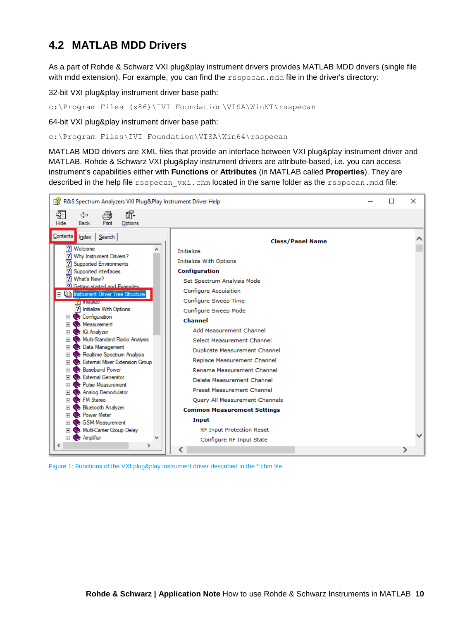## <span id="page-9-0"></span>**4.2 MATLAB MDD Drivers**

As a part of Rohde & Schwarz VXI plug&play instrument drivers provides MATLAB MDD drivers (single file with mdd extension). For example, you can find the rsspecan.mdd file in the driver's directory:

32-bit VXI plug&play instrument driver base path:

c:\Program Files (x86)\IVI Foundation\VISA\WinNT\rsspecan

64-bit VXI plug&play instrument driver base path:

c:\Program Files\IVI Foundation\VISA\Win64\rsspecan

MATLAB MDD drivers are XML files that provide an interface between VXI plug&play instrument driver and MATLAB. Rohde & Schwarz VXI plug&play instrument drivers are attribute-based, i.e. you can access instrument's capabilities either with **Functions** or **Attributes** (in MATLAB called **Properties**). They are described in the help file rsspecan vxi.chm located in the same folder as the rsspecan.mdd file:



Figure 1: Functions of the VXI plug&play instrument driver described in the \*.chm file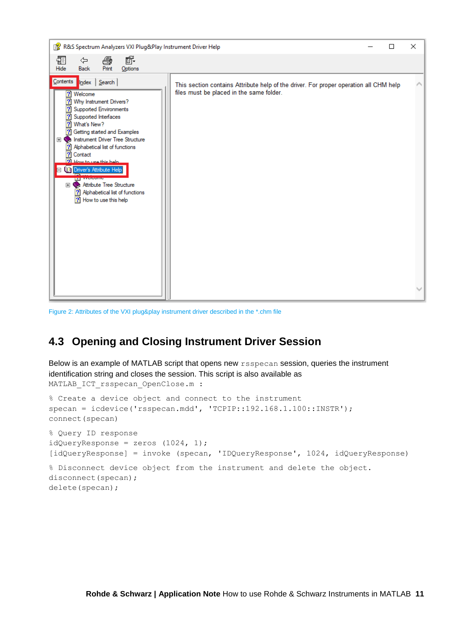

Figure 2: Attributes of the VXI plug&play instrument driver described in the \*.chm file

## <span id="page-10-0"></span>**4.3 Opening and Closing Instrument Driver Session**

Below is an example of MATLAB script that opens new  $rs<sub>specan</sub>$  session, queries the instrument identification string and closes the session. This script is also available as MATLAB\_ICT\_rsspecan\_OpenClose.m :

% Create a device object and connect to the instrument specan = icdevice('rsspecan.mdd', 'TCPIP::192.168.1.100::INSTR'); connect(specan) % Query ID response  $idQueryResponse = zeros (1024, 1);$ [idQueryResponse] = invoke (specan, 'IDQueryResponse', 1024, idQueryResponse) % Disconnect device object from the instrument and delete the object. disconnect (specan) ; delete(specan);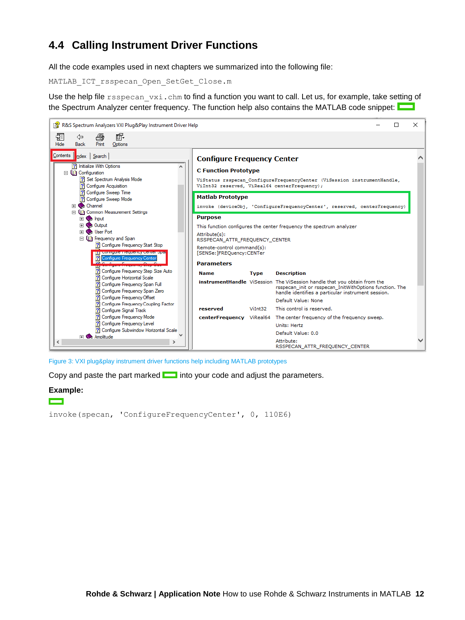## <span id="page-11-0"></span>**4.4 Calling Instrument Driver Functions**

All the code examples used in next chapters we summarized into the following file:

MATLAB\_ICT\_rsspecan\_Open\_SetGet\_Close.m

Use the help file rsspecan vxi.chm to find a function you want to call. Let us, for example, take setting of the Spectrum Analyzer center frequency. The function help also contains the MATLAB code snippet:



Figure 3: VXI plug&play instrument driver functions help including MATLAB prototypes

Copy and paste the part marked  $\Box$  into your code and adjust the parameters.

#### **Example:**

**The Contract of Street** 

invoke(specan, 'ConfigureFrequencyCenter', 0, 110E6)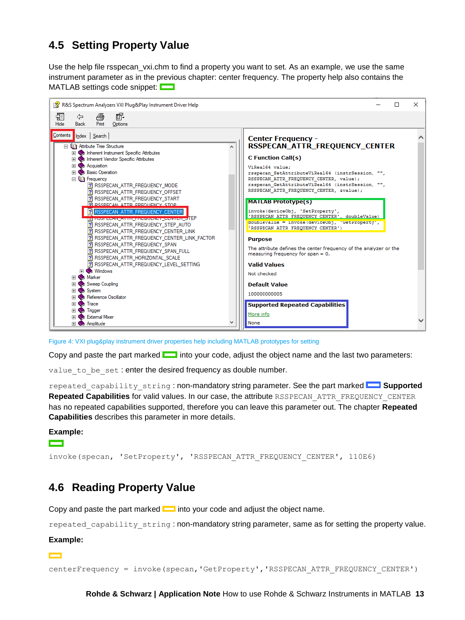## <span id="page-12-0"></span>**4.5 Setting Property Value**

Use the help file rsspecan vxi.chm to find a property you want to set. As an example, we use the same instrument parameter as in the previous chapter: center frequency. The property help also contains the MATLAB settings code snippet:



Figure 4: VXI plug&play instrument driver properties help including MATLAB prototypes for setting

Copy and paste the part marked  $\Box$  into your code, adjust the object name and the last two parameters:

value to be set : enter the desired frequency as double number.

repeated capability string : non-mandatory string parameter. See the part marked **Supported Repeated Capabilities** for valid values. In our case, the attribute RSSPECAN\_ATTR\_FREQUENCY\_CENTER has no repeated capabilities supported, therefore you can leave this parameter out. The chapter **Repeated Capabilities** describes this parameter in more details.

#### **Example:**

**Contract** 

invoke(specan, 'SetProperty', 'RSSPECAN\_ATTR\_FREQUENCY\_CENTER', 110E6)

## <span id="page-12-1"></span>**4.6 Reading Property Value**

Copy and paste the part marked into your code and adjust the object name.

repeated capability string : non-mandatory string parameter, same as for setting the property value.

#### **Example:**

 $\sim$ 

centerFrequency = invoke(specan,'GetProperty','RSSPECAN\_ATTR\_FREQUENCY\_CENTER')

**Rohde & Schwarz | Application Note** How to use Rohde & Schwarz Instruments in MATLAB **13**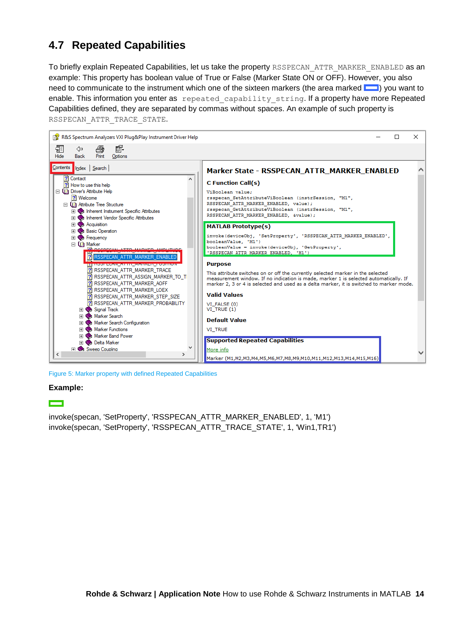## <span id="page-13-0"></span>**4.7 Repeated Capabilities**

To briefly explain Repeated Capabilities, let us take the property RSSPECAN\_ATTR\_MARKER\_ENABLED as an example: This property has boolean value of True or False (Marker State ON or OFF). However, you also need to communicate to the instrument which one of the sixteen markers (the area marked  $\Box$ ) you want to enable. This information you enter as repeated capability string. If a property have more Repeated Capabilities defined, they are separated by commas without spaces. An example of such property is RSSPECAN\_ATTR\_TRACE\_STATE.



Figure 5: Marker property with defined Repeated Capabilities

#### **Example:**

**The Second** 

invoke(specan, 'SetProperty', 'RSSPECAN\_ATTR\_MARKER\_ENABLED', 1, 'M1') invoke(specan, 'SetProperty', 'RSSPECAN\_ATTR\_TRACE\_STATE', 1, 'Win1,TR1')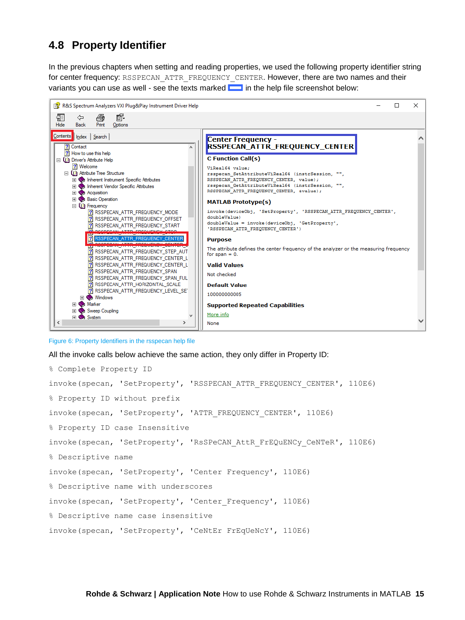## <span id="page-14-0"></span>**4.8 Property Identifier**

In the previous chapters when setting and reading properties, we used the following property identifier string for center frequency: RSSPECAN\_ATTR\_FREQUENCY\_CENTER. However, there are two names and their variants you can use as well - see the texts marked  $\Box$  in the help file screenshot below:



Figure 6: Property Identifiers in the rsspecan help file

All the invoke calls below achieve the same action, they only differ in Property ID:

```
% Complete Property ID
invoke(specan, 'SetProperty', 'RSSPECAN_ATTR_FREQUENCY_CENTER', 110E6)
% Property ID without prefix
invoke(specan, 'SetProperty', 'ATTR_FREQUENCY_CENTER', 110E6)
% Property ID case Insensitive
invoke(specan, 'SetProperty', 'RsSPeCAN_AttR_FrEQuENCy_CeNTeR', 110E6)
% Descriptive name
invoke(specan, 'SetProperty', 'Center Frequency', 110E6)
% Descriptive name with underscores
invoke(specan, 'SetProperty', 'Center_Frequency', 110E6)
% Descriptive name case insensitive
invoke(specan, 'SetProperty', 'CeNtEr FrEqUeNcY', 110E6)
```